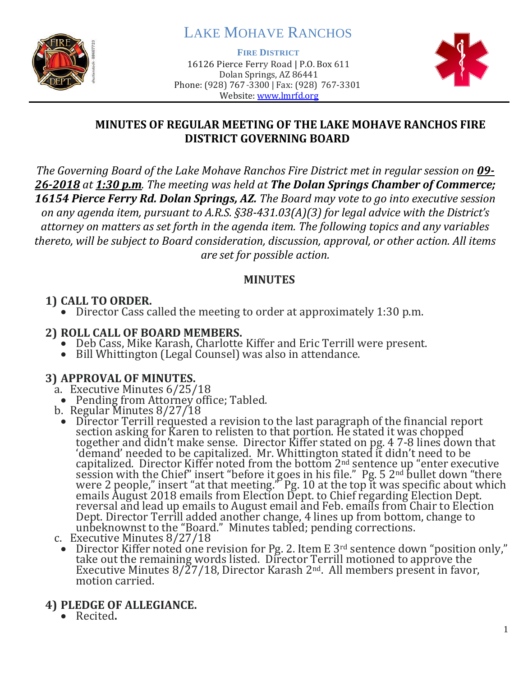

# LAKE MOHAVE RANCHOS

**FIRE DISTRICT**

16126 Pierce Ferry Road | P.O. Box 611 Dolan Springs, AZ 86441 Phone: (928) 767-3300 | Fax: (928) 767-3301 Website: [www.lmrfd.org](http://www.lmrfd.org/)



#### **MINUTES OF REGULAR MEETING OF THE LAKE MOHAVE RANCHOS FIRE DISTRICT GOVERNING BOARD**

*The Governing Board of the Lake Mohave Ranchos Fire District met in regular session on 09- 26-2018 at 1:30 p.m. The meeting was held at The Dolan Springs Chamber of Commerce; 16154 Pierce Ferry Rd. Dolan Springs, AZ. The Board may vote to go into executive session on any agenda item, pursuant to A.R.S. §38-431.03(A)(3) for legal advice with the District's attorney on matters as set forth in the agenda item. The following topics and any variables thereto, will be subject to Board consideration, discussion, approval, or other action. All items are set for possible action.*

#### **MINUTES**

### **1) CALL TO ORDER.**

• Director Cass called the meeting to order at approximately 1:30 p.m.

#### **2) ROLL CALL OF BOARD MEMBERS.**

- Deb Cass, Mike Karash, Charlotte Kiffer and Eric Terrill were present.
- Bill Whittington (Legal Counsel) was also in attendance.

## **3) APPROVAL OF MINUTES.**

- a. Executive Minutes 6/25/18
	- Pending from Attorney office; Tabled.
- b. Regular Minutes 8/27/18
- Director Terrill requested a revision to the last paragraph of the financial report section asking for Karen to relisten to that portion. He stated it was chopped together and didn't make sense. Director Kiffer stated on pg. 4 7-8 lines down that 'demand' needed to be capitalized. Mr. Whittington stated it didn't need to be capitalized. Director Kiffer noted from the bottom  $2<sup>nd</sup>$  sentence up "enter executive session with the Chief" insert "before it goes in his file." Pg. 5 2nd bullet down "there were 2 people," insert "at that meeting." Pg. 10 at the top it was specific about which emails August 2018 emails from Election Dept. to Chief regarding Election Dept. reversal and lead up emails to August email and Feb. emails from Chair to Election Dept. Director Terrill added another change, 4 lines up from bottom, change to unbeknownst to the "Board." Minutes tabled; pending corrections.
- c. Executive Minutes 8/27/18
- Director Kiffer noted one revision for Pg. 2. Item E  $3<sup>rd</sup>$  sentence down "position only," take out the remaining words listed. Director Terrill motioned to approve the Executive Minutes 8/27/18, Director Karash 2<sup>nd</sup>. All members present in favor, motion carried.
- **4) PLEDGE OF ALLEGIANCE.**
	- Recited**.**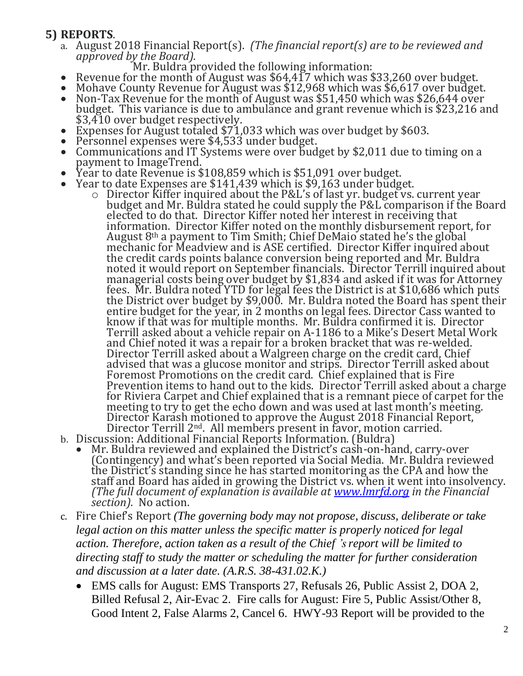#### **5) REPORTS**.

a. August 2018 Financial Report(s). *(The financial report(s) are to be reviewed and approved by the Board).*

Mr. Buldra provided the following information:

- Revenue for the month of August was \$64,417 which was \$33,260 over budget.
- Mohave County Revenue for August was \$12,968 which was \$6,617 over budget.
- Non-Tax Revenue for the month of August was \$51,450 which was \$26,644 over budget. This variance is due to ambulance and grant revenue which is \$23,216 and \$3,410 over budget respectively.
- Expenses for August totaled \$71,033 which was over budget by \$603.
- Personnel expenses were \$4,533 under budget.
- Communications and IT Systems were over budget by \$2,011 due to timing on a payment to ImageTrend.
- Year to date Revenue is \$108,859 which is \$51,091 over budget.
- Year to date Expenses are \$141,439 which is \$9,163 under budget.
	- o Director Kiffer inquired about the P&L's of last yr. budget vs. current year budget and Mr. Buldra stated he could supply the P&L comparison if the Board elected to do that. Director Kiffer noted her interest in receiving that information. Director Kiffer noted on the monthly disbursement report, for August  $8<sup>th</sup>$  a payment to Tim Smith; Chief DeMaio stated he's the global mechanic for Meadview and is ASE certified. Director Kiffer inquired about the credit cards points balance conversion being reported and Mr. Buldra noted it would report on September financials. Director Terrill inquired about managerial costs being over budget by \$1,834 and asked if it was for Attorney fees. Mr. Buldra noted YTD for legal fees the District is at \$10,686 which puts the District over budget by \$9,000. Mr. Buldra noted the Board has spent their entire budget for the year, in 2 months on legal fees. Director Cass wanted to know if that was for multiple months. Mr. Buldra confirmed it is. Director Terrill asked about a vehicle repair on A-1186 to a Mike's Desert Metal Work and Chief noted it was a repair for a broken bracket that was re-welded. Director Terrill asked about a Walgreen charge on the credit card, Chief advised that was a glucose monitor and strips. Director Terrill asked about Foremost Promotions on the credit card. Chief explained that is Fire Prevention items to hand out to the kids. Director Terrill asked about a charge for Riviera Carpet and Chief explained that is a remnant piece of carpet for the meeting to try to get the echo down and was used at last month's meeting. Director Karash motioned to approve the August 2018 Financial Report, Director Terrill 2<sup>nd</sup>. All members present in favor, motion carried.
- b. Discussion: Additional Financial Reports Information. (Buldra)
	- Mr. Buldra reviewed and explained the District's cash-on-hand, carry-over (Contingency) and what's been reported via Social Media. Mr. Buldra reviewed the District's standing since he has started monitoring as the CPA and how the staff and Board has aided in growing the District vs. when it went into insolvency. *(The full document of explanation is available at [www.lmrfd.org](http://www.lmrfd.org/) in the Financial section).* No action.
- c. Fire Chief's Report *(The governing body may not propose, discuss, deliberate or take legal action on this matter unless the specific matter is properly noticed for legal action. Therefore, action taken as a result of the Chief 's report will be limited to directing staff to study the matter or scheduling the matter for further consideration and discussion at a later date. (A.R.S. 38-431.02.K.)*
	- EMS calls for August: EMS Transports 27, Refusals 26, Public Assist 2, DOA 2, Billed Refusal 2, Air-Evac 2. Fire calls for August: Fire 5, Public Assist/Other 8, Good Intent 2, False Alarms 2, Cancel 6. HWY-93 Report will be provided to the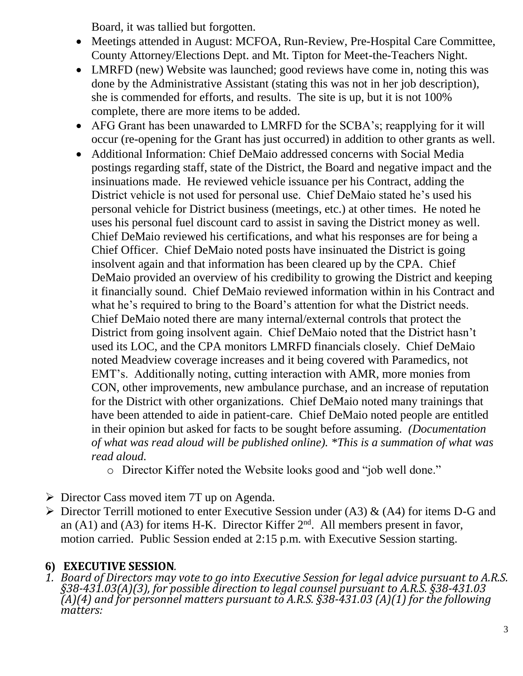Board, it was tallied but forgotten.

- Meetings attended in August: MCFOA, Run-Review, Pre-Hospital Care Committee, County Attorney/Elections Dept. and Mt. Tipton for Meet-the-Teachers Night.
- LMRFD (new) Website was launched; good reviews have come in, noting this was done by the Administrative Assistant (stating this was not in her job description), she is commended for efforts, and results. The site is up, but it is not 100% complete, there are more items to be added.
- AFG Grant has been unawarded to LMRFD for the SCBA's; reapplying for it will occur (re-opening for the Grant has just occurred) in addition to other grants as well.
- Additional Information: Chief DeMaio addressed concerns with Social Media postings regarding staff, state of the District, the Board and negative impact and the insinuations made. He reviewed vehicle issuance per his Contract, adding the District vehicle is not used for personal use. Chief DeMaio stated he's used his personal vehicle for District business (meetings, etc.) at other times*.* He noted he uses his personal fuel discount card to assist in saving the District money as well. Chief DeMaio reviewed his certifications, and what his responses are for being a Chief Officer. Chief DeMaio noted posts have insinuated the District is going insolvent again and that information has been cleared up by the CPA. Chief DeMaio provided an overview of his credibility to growing the District and keeping it financially sound. Chief DeMaio reviewed information within in his Contract and what he's required to bring to the Board's attention for what the District needs. Chief DeMaio noted there are many internal/external controls that protect the District from going insolvent again. Chief DeMaio noted that the District hasn't used its LOC, and the CPA monitors LMRFD financials closely. Chief DeMaio noted Meadview coverage increases and it being covered with Paramedics, not EMT's. Additionally noting, cutting interaction with AMR, more monies from CON, other improvements, new ambulance purchase, and an increase of reputation for the District with other organizations. Chief DeMaio noted many trainings that have been attended to aide in patient-care. Chief DeMaio noted people are entitled in their opinion but asked for facts to be sought before assuming. *(Documentation of what was read aloud will be published online). \*This is a summation of what was read aloud.*
	- o Director Kiffer noted the Website looks good and "job well done."
- ➢ Director Cass moved item 7T up on Agenda.
- $\triangleright$  Director Terrill motioned to enter Executive Session under (A3) & (A4) for items D-G and an  $(A1)$  and  $(A3)$  for items H-K. Director Kiffer  $2<sup>nd</sup>$ . All members present in favor, motion carried. Public Session ended at 2:15 p.m. with Executive Session starting.

## **6) EXECUTIVE SESSION***.*

*1. Board of Directors may vote to go into Executive Session for legal advice pursuant to A.R.S. §38-431.03(A)(3), for possible direction to legal counsel pursuant to A.R.S. §38-431.03 (A)(4) and for personnel matters pursuant to A.R.S. §38-431.03 (A)(1) for the following matters:*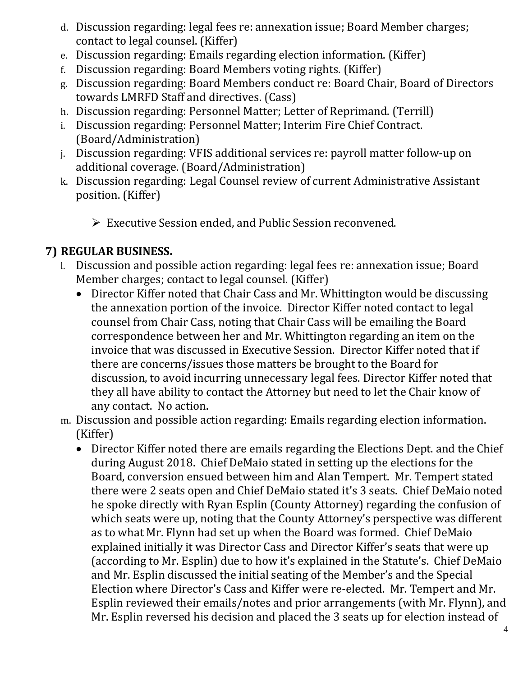- d. Discussion regarding: legal fees re: annexation issue; Board Member charges; contact to legal counsel. (Kiffer)
- e. Discussion regarding: Emails regarding election information. (Kiffer)
- f. Discussion regarding: Board Members voting rights. (Kiffer)
- g. Discussion regarding: Board Members conduct re: Board Chair, Board of Directors towards LMRFD Staff and directives. (Cass)
- h. Discussion regarding: Personnel Matter; Letter of Reprimand. (Terrill)
- i. Discussion regarding: Personnel Matter; Interim Fire Chief Contract. (Board/Administration)
- j. Discussion regarding: VFIS additional services re: payroll matter follow-up on additional coverage. (Board/Administration)
- k. Discussion regarding: Legal Counsel review of current Administrative Assistant position. (Kiffer)
	- ➢ Executive Session ended, and Public Session reconvened.

## **7) REGULAR BUSINESS.**

- l. Discussion and possible action regarding: legal fees re: annexation issue; Board Member charges; contact to legal counsel. (Kiffer)
	- Director Kiffer noted that Chair Cass and Mr. Whittington would be discussing the annexation portion of the invoice. Director Kiffer noted contact to legal counsel from Chair Cass, noting that Chair Cass will be emailing the Board correspondence between her and Mr. Whittington regarding an item on the invoice that was discussed in Executive Session. Director Kiffer noted that if there are concerns/issues those matters be brought to the Board for discussion, to avoid incurring unnecessary legal fees. Director Kiffer noted that they all have ability to contact the Attorney but need to let the Chair know of any contact. No action.
- m. Discussion and possible action regarding: Emails regarding election information. (Kiffer)
	- Director Kiffer noted there are emails regarding the Elections Dept. and the Chief during August 2018. Chief DeMaio stated in setting up the elections for the Board, conversion ensued between him and Alan Tempert. Mr. Tempert stated there were 2 seats open and Chief DeMaio stated it's 3 seats. Chief DeMaio noted he spoke directly with Ryan Esplin (County Attorney) regarding the confusion of which seats were up, noting that the County Attorney's perspective was different as to what Mr. Flynn had set up when the Board was formed. Chief DeMaio explained initially it was Director Cass and Director Kiffer's seats that were up (according to Mr. Esplin) due to how it's explained in the Statute's. Chief DeMaio and Mr. Esplin discussed the initial seating of the Member's and the Special Election where Director's Cass and Kiffer were re-elected. Mr. Tempert and Mr. Esplin reviewed their emails/notes and prior arrangements (with Mr. Flynn), and Mr. Esplin reversed his decision and placed the 3 seats up for election instead of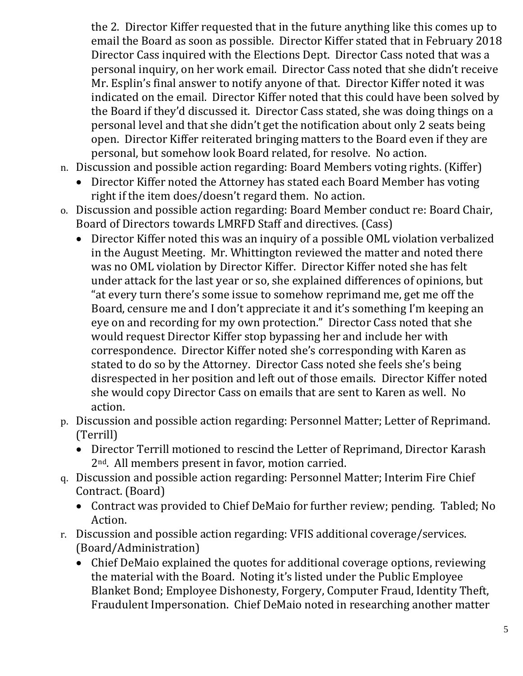the 2. Director Kiffer requested that in the future anything like this comes up to email the Board as soon as possible. Director Kiffer stated that in February 2018 Director Cass inquired with the Elections Dept. Director Cass noted that was a personal inquiry, on her work email. Director Cass noted that she didn't receive Mr. Esplin's final answer to notify anyone of that. Director Kiffer noted it was indicated on the email. Director Kiffer noted that this could have been solved by the Board if they'd discussed it. Director Cass stated, she was doing things on a personal level and that she didn't get the notification about only 2 seats being open. Director Kiffer reiterated bringing matters to the Board even if they are personal, but somehow look Board related, for resolve. No action.

- n. Discussion and possible action regarding: Board Members voting rights. (Kiffer)
	- Director Kiffer noted the Attorney has stated each Board Member has voting right if the item does/doesn't regard them. No action.
- o. Discussion and possible action regarding: Board Member conduct re: Board Chair, Board of Directors towards LMRFD Staff and directives. (Cass)
	- Director Kiffer noted this was an inquiry of a possible OML violation verbalized in the August Meeting. Mr. Whittington reviewed the matter and noted there was no OML violation by Director Kiffer. Director Kiffer noted she has felt under attack for the last year or so, she explained differences of opinions, but "at every turn there's some issue to somehow reprimand me, get me off the Board, censure me and I don't appreciate it and it's something I'm keeping an eye on and recording for my own protection." Director Cass noted that she would request Director Kiffer stop bypassing her and include her with correspondence. Director Kiffer noted she's corresponding with Karen as stated to do so by the Attorney. Director Cass noted she feels she's being disrespected in her position and left out of those emails. Director Kiffer noted she would copy Director Cass on emails that are sent to Karen as well. No action.
- p. Discussion and possible action regarding: Personnel Matter; Letter of Reprimand. (Terrill)
	- Director Terrill motioned to rescind the Letter of Reprimand, Director Karash 2nd. All members present in favor, motion carried.
- q. Discussion and possible action regarding: Personnel Matter; Interim Fire Chief Contract. (Board)
	- Contract was provided to Chief DeMaio for further review; pending. Tabled; No Action.
- r. Discussion and possible action regarding: VFIS additional coverage/services. (Board/Administration)
	- Chief DeMaio explained the quotes for additional coverage options, reviewing the material with the Board. Noting it's listed under the Public Employee Blanket Bond; Employee Dishonesty, Forgery, Computer Fraud, Identity Theft, Fraudulent Impersonation. Chief DeMaio noted in researching another matter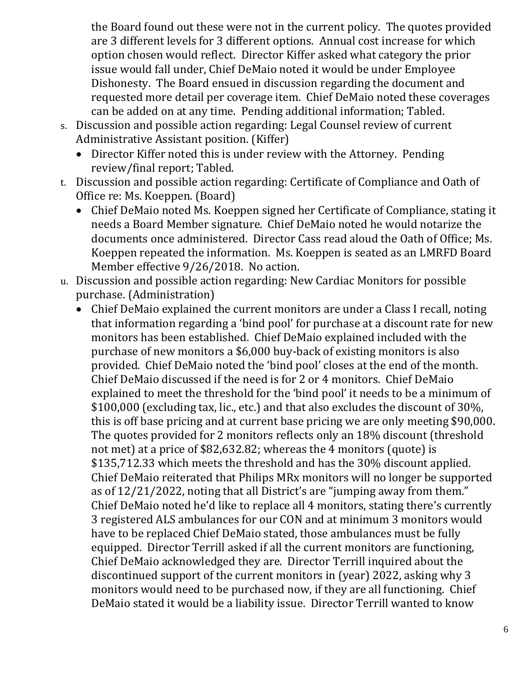the Board found out these were not in the current policy. The quotes provided are 3 different levels for 3 different options. Annual cost increase for which option chosen would reflect. Director Kiffer asked what category the prior issue would fall under, Chief DeMaio noted it would be under Employee Dishonesty. The Board ensued in discussion regarding the document and requested more detail per coverage item. Chief DeMaio noted these coverages can be added on at any time. Pending additional information; Tabled.

- s. Discussion and possible action regarding: Legal Counsel review of current Administrative Assistant position. (Kiffer)
	- Director Kiffer noted this is under review with the Attorney. Pending review/final report; Tabled.
- t. Discussion and possible action regarding: Certificate of Compliance and Oath of Office re: Ms. Koeppen. (Board)
	- Chief DeMaio noted Ms. Koeppen signed her Certificate of Compliance, stating it needs a Board Member signature. Chief DeMaio noted he would notarize the documents once administered. Director Cass read aloud the Oath of Office; Ms. Koeppen repeated the information. Ms. Koeppen is seated as an LMRFD Board Member effective 9/26/2018. No action.
- u. Discussion and possible action regarding: New Cardiac Monitors for possible purchase. (Administration)
	- Chief DeMaio explained the current monitors are under a Class I recall, noting that information regarding a 'bind pool' for purchase at a discount rate for new monitors has been established. Chief DeMaio explained included with the purchase of new monitors a \$6,000 buy-back of existing monitors is also provided. Chief DeMaio noted the 'bind pool' closes at the end of the month. Chief DeMaio discussed if the need is for 2 or 4 monitors. Chief DeMaio explained to meet the threshold for the 'bind pool' it needs to be a minimum of \$100,000 (excluding tax, lic., etc.) and that also excludes the discount of 30%, this is off base pricing and at current base pricing we are only meeting \$90,000. The quotes provided for 2 monitors reflects only an 18% discount (threshold not met) at a price of \$82,632.82; whereas the 4 monitors (quote) is \$135,712.33 which meets the threshold and has the 30% discount applied. Chief DeMaio reiterated that Philips MRx monitors will no longer be supported as of 12/21/2022, noting that all District's are "jumping away from them." Chief DeMaio noted he'd like to replace all 4 monitors, stating there's currently 3 registered ALS ambulances for our CON and at minimum 3 monitors would have to be replaced Chief DeMaio stated, those ambulances must be fully equipped. Director Terrill asked if all the current monitors are functioning, Chief DeMaio acknowledged they are. Director Terrill inquired about the discontinued support of the current monitors in (year) 2022, asking why 3 monitors would need to be purchased now, if they are all functioning. Chief DeMaio stated it would be a liability issue. Director Terrill wanted to know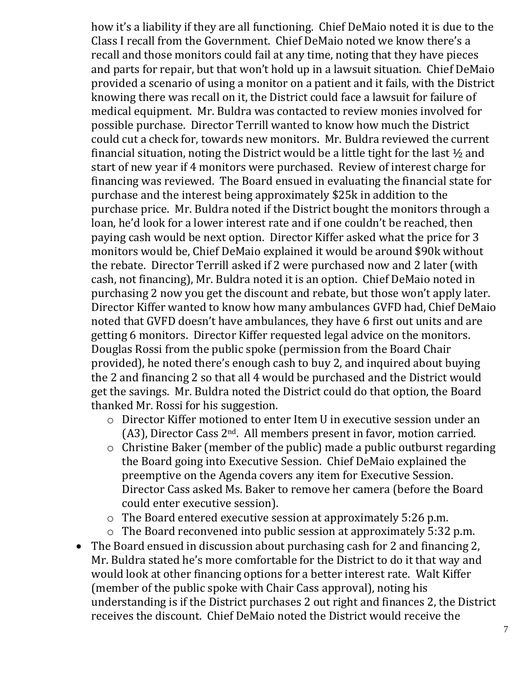how it's a liability if they are all functioning. Chief DeMaio noted it is due to the Class I recall from the Government. Chief DeMaio noted we know there's a recall and those monitors could fail at any time, noting that they have pieces and parts for repair, but that won't hold up in a lawsuit situation. Chief DeMaio provided a scenario of using a monitor on a patient and it fails, with the District knowing there was recall on it, the District could face a lawsuit for failure of medical equipment. Mr. Buldra was contacted to review monies involved for possible purchase. Director Terrill wanted to know how much the District could cut a check for, towards new monitors. Mr. Buldra reviewed the current financial situation, noting the District would be a little tight for the last ½ and start of new year if 4 monitors were purchased. Review of interest charge for financing was reviewed. The Board ensued in evaluating the financial state for purchase and the interest being approximately \$25k in addition to the purchase price. Mr. Buldra noted if the District bought the monitors through a loan, he'd look for a lower interest rate and if one couldn't be reached, then paying cash would be next option. Director Kiffer asked what the price for 3 monitors would be, Chief DeMaio explained it would be around \$90k without the rebate. Director Terrill asked if 2 were purchased now and 2 later (with cash, not financing), Mr. Buldra noted it is an option. Chief DeMaio noted in purchasing 2 now you get the discount and rebate, but those won't apply later. Director Kiffer wanted to know how many ambulances GVFD had, Chief DeMaio noted that GVFD doesn't have ambulances, they have 6 first out units and are getting 6 monitors. Director Kiffer requested legal advice on the monitors. Douglas Rossi from the public spoke (permission from the Board Chair provided), he noted there's enough cash to buy 2, and inquired about buying the 2 and financing 2 so that all 4 would be purchased and the District would get the savings. Mr. Buldra noted the District could do that option, the Board thanked Mr. Rossi for his suggestion.

- o Director Kiffer motioned to enter Item U in executive session under an (A3), Director Cass 2nd. All members present in favor, motion carried.
- o Christine Baker (member of the public) made a public outburst regarding the Board going into Executive Session. Chief DeMaio explained the preemptive on the Agenda covers any item for Executive Session. Director Cass asked Ms. Baker to remove her camera (before the Board could enter executive session).
- o The Board entered executive session at approximately 5:26 p.m.
- o The Board reconvened into public session at approximately 5:32 p.m.
- The Board ensued in discussion about purchasing cash for 2 and financing 2, Mr. Buldra stated he's more comfortable for the District to do it that way and would look at other financing options for a better interest rate. Walt Kiffer (member of the public spoke with Chair Cass approval), noting his understanding is if the District purchases 2 out right and finances 2, the District receives the discount. Chief DeMaio noted the District would receive the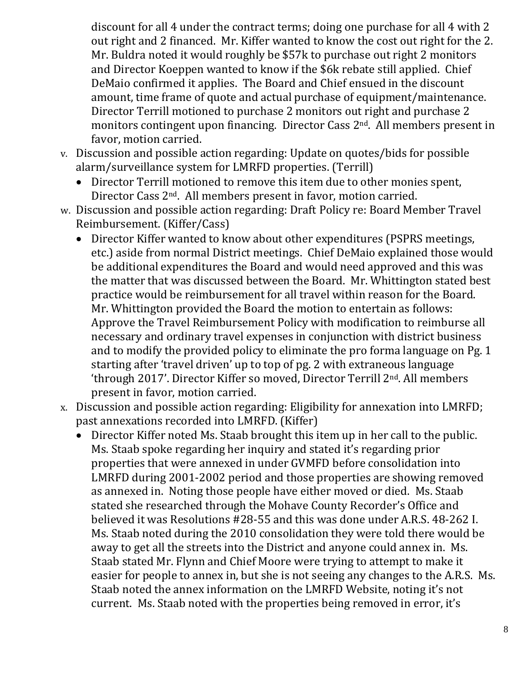discount for all 4 under the contract terms; doing one purchase for all 4 with 2 out right and 2 financed. Mr. Kiffer wanted to know the cost out right for the 2. Mr. Buldra noted it would roughly be \$57k to purchase out right 2 monitors and Director Koeppen wanted to know if the \$6k rebate still applied. Chief DeMaio confirmed it applies. The Board and Chief ensued in the discount amount, time frame of quote and actual purchase of equipment/maintenance. Director Terrill motioned to purchase 2 monitors out right and purchase 2 monitors contingent upon financing. Director Cass 2nd. All members present in favor, motion carried.

- v. Discussion and possible action regarding: Update on quotes/bids for possible alarm/surveillance system for LMRFD properties. (Terrill)
	- Director Terrill motioned to remove this item due to other monies spent, Director Cass 2nd. All members present in favor, motion carried.
- w. Discussion and possible action regarding: Draft Policy re: Board Member Travel Reimbursement. (Kiffer/Cass)
	- Director Kiffer wanted to know about other expenditures (PSPRS meetings, etc.) aside from normal District meetings. Chief DeMaio explained those would be additional expenditures the Board and would need approved and this was the matter that was discussed between the Board. Mr. Whittington stated best practice would be reimbursement for all travel within reason for the Board. Mr. Whittington provided the Board the motion to entertain as follows: Approve the Travel Reimbursement Policy with modification to reimburse all necessary and ordinary travel expenses in conjunction with district business and to modify the provided policy to eliminate the pro forma language on Pg. 1 starting after 'travel driven' up to top of pg. 2 with extraneous language 'through 2017'. Director Kiffer so moved, Director Terrill 2nd. All members present in favor, motion carried.
- x. Discussion and possible action regarding: Eligibility for annexation into LMRFD; past annexations recorded into LMRFD. (Kiffer)
	- Director Kiffer noted Ms. Staab brought this item up in her call to the public. Ms. Staab spoke regarding her inquiry and stated it's regarding prior properties that were annexed in under GVMFD before consolidation into LMRFD during 2001-2002 period and those properties are showing removed as annexed in. Noting those people have either moved or died. Ms. Staab stated she researched through the Mohave County Recorder's Office and believed it was Resolutions #28-55 and this was done under A.R.S. 48-262 I. Ms. Staab noted during the 2010 consolidation they were told there would be away to get all the streets into the District and anyone could annex in. Ms. Staab stated Mr. Flynn and Chief Moore were trying to attempt to make it easier for people to annex in, but she is not seeing any changes to the A.R.S. Ms. Staab noted the annex information on the LMRFD Website, noting it's not current. Ms. Staab noted with the properties being removed in error, it's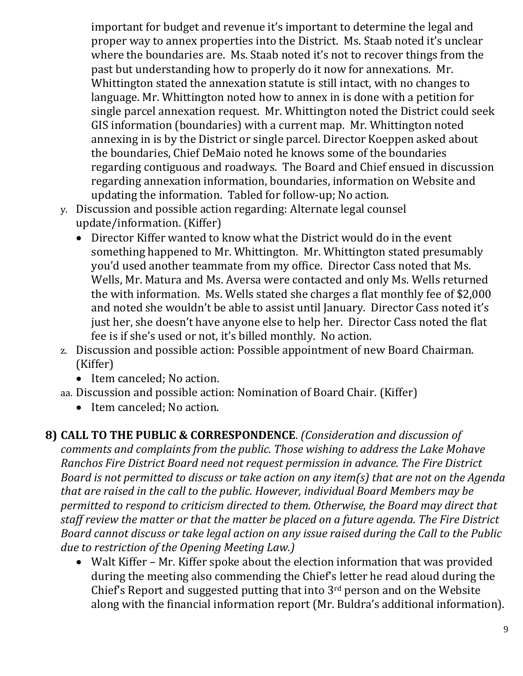important for budget and revenue it's important to determine the legal and proper way to annex properties into the District. Ms. Staab noted it's unclear where the boundaries are. Ms. Staab noted it's not to recover things from the past but understanding how to properly do it now for annexations. Mr. Whittington stated the annexation statute is still intact, with no changes to language. Mr. Whittington noted how to annex in is done with a petition for single parcel annexation request. Mr. Whittington noted the District could seek GIS information (boundaries) with a current map. Mr. Whittington noted annexing in is by the District or single parcel. Director Koeppen asked about the boundaries, Chief DeMaio noted he knows some of the boundaries regarding contiguous and roadways. The Board and Chief ensued in discussion regarding annexation information, boundaries, information on Website and updating the information. Tabled for follow-up; No action.

- y. Discussion and possible action regarding: Alternate legal counsel
- update/information. (Kiffer)
	- Director Kiffer wanted to know what the District would do in the event something happened to Mr. Whittington. Mr. Whittington stated presumably you'd used another teammate from my office. Director Cass noted that Ms. Wells, Mr. Matura and Ms. Aversa were contacted and only Ms. Wells returned the with information. Ms. Wells stated she charges a flat monthly fee of \$2,000 and noted she wouldn't be able to assist until January. Director Cass noted it's just her, she doesn't have anyone else to help her. Director Cass noted the flat fee is if she's used or not, it's billed monthly. No action.
- z. Discussion and possible action: Possible appointment of new Board Chairman. (Kiffer)
	- Item canceled; No action.
- aa. Discussion and possible action: Nomination of Board Chair. (Kiffer)
	- Item canceled; No action.

#### **8) CALL TO THE PUBLIC & CORRESPONDENCE**. *(Consideration and discussion of*

*comments and complaints from the public. Those wishing to address the Lake Mohave Ranchos Fire District Board need not request permission in advance. The Fire District Board is not permitted to discuss or take action on any item(s) that are not on the Agenda that are raised in the call to the public. However, individual Board Members may be permitted to respond to criticism directed to them. Otherwise, the Board may direct that staff review the matter or that the matter be placed on a future agenda. The Fire District Board cannot discuss or take legal action on any issue raised during the Call to the Public due to restriction of the Opening Meeting Law.)*

• Walt Kiffer – Mr. Kiffer spoke about the election information that was provided during the meeting also commending the Chief's letter he read aloud during the Chief's Report and suggested putting that into 3rd person and on the Website along with the financial information report (Mr. Buldra's additional information).